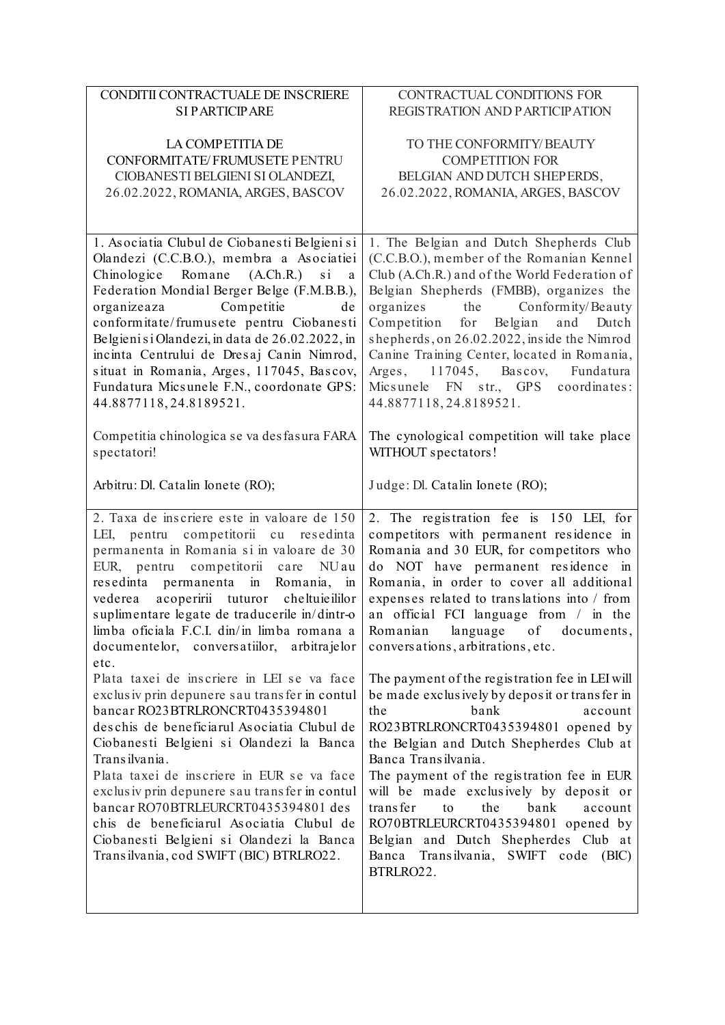| CONDITII CONTRACTUALE DE INSCRIERE                                                                                                                                                                                                                                                                                                                                                                                                                                                                                                                                                                                                                | CONTRACTUAL CONDITIONS FOR                                                                                                                                                                                                                                                                                                                                                                                                                                                                                                                             |  |  |  |
|---------------------------------------------------------------------------------------------------------------------------------------------------------------------------------------------------------------------------------------------------------------------------------------------------------------------------------------------------------------------------------------------------------------------------------------------------------------------------------------------------------------------------------------------------------------------------------------------------------------------------------------------------|--------------------------------------------------------------------------------------------------------------------------------------------------------------------------------------------------------------------------------------------------------------------------------------------------------------------------------------------------------------------------------------------------------------------------------------------------------------------------------------------------------------------------------------------------------|--|--|--|
| <b>SI PARTICIPARE</b>                                                                                                                                                                                                                                                                                                                                                                                                                                                                                                                                                                                                                             | REGISTRATION AND PARTICIPATION                                                                                                                                                                                                                                                                                                                                                                                                                                                                                                                         |  |  |  |
| LA COMPETITIA DE                                                                                                                                                                                                                                                                                                                                                                                                                                                                                                                                                                                                                                  | TO THE CONFORMITY/BEAUTY                                                                                                                                                                                                                                                                                                                                                                                                                                                                                                                               |  |  |  |
| CONFORMITATE/FRUMUSETE PENTRU                                                                                                                                                                                                                                                                                                                                                                                                                                                                                                                                                                                                                     | <b>COMPETITION FOR</b>                                                                                                                                                                                                                                                                                                                                                                                                                                                                                                                                 |  |  |  |
| CIOBANESTI BELGIENI SI OLANDEZI,                                                                                                                                                                                                                                                                                                                                                                                                                                                                                                                                                                                                                  | BELGIAN AND DUTCH SHEPERDS,                                                                                                                                                                                                                                                                                                                                                                                                                                                                                                                            |  |  |  |
|                                                                                                                                                                                                                                                                                                                                                                                                                                                                                                                                                                                                                                                   |                                                                                                                                                                                                                                                                                                                                                                                                                                                                                                                                                        |  |  |  |
| 26.02.2022, ROMANIA, ARGES, BASCOV                                                                                                                                                                                                                                                                                                                                                                                                                                                                                                                                                                                                                | 26.02.2022, ROMANIA, ARGES, BASCOV                                                                                                                                                                                                                                                                                                                                                                                                                                                                                                                     |  |  |  |
|                                                                                                                                                                                                                                                                                                                                                                                                                                                                                                                                                                                                                                                   |                                                                                                                                                                                                                                                                                                                                                                                                                                                                                                                                                        |  |  |  |
| 1. Asociatia Clubul de Ciobanesti Belgieni si<br>Olandezi (C.C.B.O.), membra a Asociatiei<br>Romane<br>$(A.Ch.R.)$ si a<br>Chinologice<br>Federation Mondial Berger Belge (F.M.B.B.),<br>Competitie<br>organizeaza<br>de<br>conformitate/frumusete pentru Ciobanesti<br>Belgieni si Olandezi, in data de 26.02.2022, in<br>incinta Centrului de Dresaj Canin Nimrod,<br>situat in Romania, Arges, 117045, Bascov,<br>Fundatura Micsunele F.N., coordonate GPS:<br>44.8877118,24.8189521.                                                                                                                                                          | 1. The Belgian and Dutch Shepherds Club<br>(C.C.B.O.), member of the Romanian Kennel<br>Club (A.Ch.R.) and of the World Federation of<br>Belgian Shepherds (FMBB), organizes the<br>organizes the Conformity/Beauty<br>Competition for Belgian<br>and Dutch<br>shepherds, on 26.02.2022, inside the Nimrod<br>Canine Training Center, located in Romania,<br>Arges, 117045, Bascov, Fundatura<br>Micsunele FN str., GPS coordinates:<br>44.8877118,24.8189521.                                                                                         |  |  |  |
| Competitia chinologica se va desfasura FARA<br>spectatori!                                                                                                                                                                                                                                                                                                                                                                                                                                                                                                                                                                                        | The cynological competition will take place<br>WITHOUT spectators!                                                                                                                                                                                                                                                                                                                                                                                                                                                                                     |  |  |  |
| Arbitru: Dl. Catalin Ionete (RO);                                                                                                                                                                                                                                                                                                                                                                                                                                                                                                                                                                                                                 | Judge: Dl. Catalin Ionete (RO);                                                                                                                                                                                                                                                                                                                                                                                                                                                                                                                        |  |  |  |
| 2. Taxa de inscriere este in valoare de 150<br>LEI, pentru competitorii cu resedinta<br>permanenta in Romania si in valoare de 30<br>EUR, pentru competitorii care NUau<br>resedinta permanenta in Romania, in<br>vederea acoperirii tuturor cheltuieililor<br>suplimentare legate de traducerile in/dintr-o<br>limba oficiala F.C.I. din/in limba romana a<br>documentelor, conversatiilor,<br>arbitrajelor<br>etc.<br>Plata taxei de inscriere in LEI se va face<br>exclusiv prin depunere sau transfer in contul<br>bancar RO23BTRLRONCRT0435394801<br>deschis de beneficiarul Asociatia Clubul de<br>Ciobanesti Belgieni si Olandezi la Banca | 2. The registration fee is 150 LEI, for<br>competitors with permanent residence in<br>Romania and 30 EUR, for competitors who<br>do NOT have permanent residence in<br>Romania, in order to cover all additional<br>expenses related to translations into / from<br>an official FCI language from / in the<br>Romanian language of documents,<br>conversations, arbitrations, etc.<br>The payment of the registration fee in LEI will<br>be made exclusively by deposit or transfer in<br>the<br>bank<br>account<br>RO23BTRLRONCRT0435394801 opened by |  |  |  |
| Transilvania.<br>Plata taxei de inscriere in EUR se va face<br>exclusiv prin depunere sau transfer in contul<br>bancar RO70BTRLEURCRT0435394801 des<br>chis de beneficiarul Asociatia Clubul de<br>Ciobanesti Belgieni si Olandezi la Banca<br>Transilvania, cod SWIFT (BIC) BTRLRO22.                                                                                                                                                                                                                                                                                                                                                            | the Belgian and Dutch Shepherdes Club at<br>Banca Transilvania.<br>The payment of the registration fee in EUR<br>will be made exclusively by deposit or<br>trans fer<br>bank<br>to<br>the<br>account<br>RO70BTRLEURCRT0435394801 opened by<br>Belgian and Dutch Shepherdes Club at<br>Transilvania, SWIFT code (BIC)<br>Banca<br>BTRLRO22.                                                                                                                                                                                                             |  |  |  |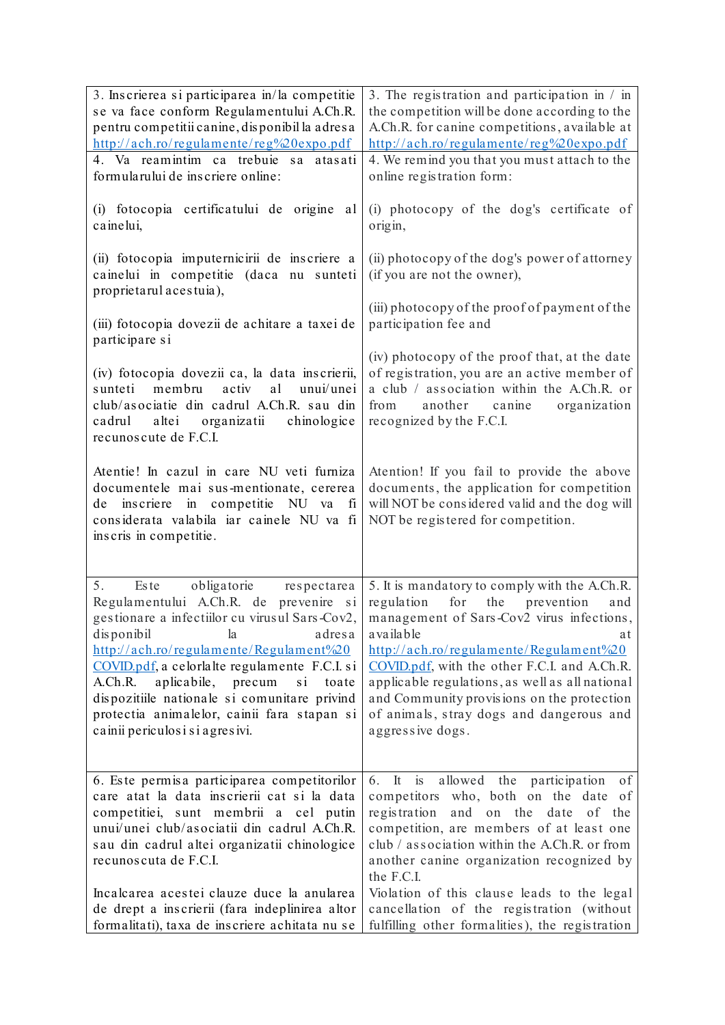| 3. Inscrierea si participarea in/la competitie<br>se va face conform Regulamentului A.Ch.R.<br>pentru competitii canine, disponibil la adresa<br>http://ach.ro/regulamente/reg%20expo.pdf                                                                                                                                                                                                                                                                               | 3. The registration and participation in / in<br>the competition will be done according to the<br>A.Ch.R. for canine competitions, available at<br>http://ach.ro/regulamente/reg%20expo.pdf                                                                                                                                                                                                                          |  |  |  |  |
|-------------------------------------------------------------------------------------------------------------------------------------------------------------------------------------------------------------------------------------------------------------------------------------------------------------------------------------------------------------------------------------------------------------------------------------------------------------------------|----------------------------------------------------------------------------------------------------------------------------------------------------------------------------------------------------------------------------------------------------------------------------------------------------------------------------------------------------------------------------------------------------------------------|--|--|--|--|
| 4. Va reamintim ca trebuie sa atasati<br>formularului de inscriere online:                                                                                                                                                                                                                                                                                                                                                                                              | 4. We remind you that you must attach to the<br>online registration form:                                                                                                                                                                                                                                                                                                                                            |  |  |  |  |
| (i) fotocopia certificatului de origine<br>al<br>cainelui,                                                                                                                                                                                                                                                                                                                                                                                                              | (i) photocopy of the dog's certificate of<br>origin,                                                                                                                                                                                                                                                                                                                                                                 |  |  |  |  |
| (ii) fotocopia imputernicirii de inscriere a<br>cainelui in competitie (daca nu sunteti<br>proprietarul acestuia),                                                                                                                                                                                                                                                                                                                                                      | (ii) photocopy of the dog's power of attorney<br>(if you are not the owner),                                                                                                                                                                                                                                                                                                                                         |  |  |  |  |
| (iii) fotocopia dovezii de achitare a taxei de<br>participare si                                                                                                                                                                                                                                                                                                                                                                                                        | (iii) photocopy of the proof of payment of the<br>participation fee and                                                                                                                                                                                                                                                                                                                                              |  |  |  |  |
| (iv) fotocopia dovezii ca, la data inscrierii,<br>membru<br>activ<br>a1<br>sunteti<br>unui/unei<br>club/asociatie din cadrul A.Ch.R. sau din<br>altei organizatii<br>cadrul<br>chinologice<br>recunoscute de F.C.I.                                                                                                                                                                                                                                                     | (iv) photocopy of the proof that, at the date<br>of registration, you are an active member of<br>a club / association within the A.Ch.R. or<br>from<br>another canine<br>organization<br>recognized by the F.C.I.                                                                                                                                                                                                    |  |  |  |  |
| Atentie! In cazul in care NU veti furniza<br>documentele mai sus-mentionate, cererea<br>in competitie NU va<br>inscriere<br>fi<br>de<br>considerata valabila iar cainele NU va fi<br>inscris in competitie.                                                                                                                                                                                                                                                             | Atention! If you fail to provide the above<br>documents, the application for competition<br>will NOT be considered valid and the dog will<br>NOT be registered for competition.                                                                                                                                                                                                                                      |  |  |  |  |
| obligatorie respectarea<br>5.<br><b>Este</b><br>Regulamentului A.Ch.R. de prevenire si<br>gestionare a infectiilor cu virusul Sars-Cov2,<br>disponibil<br>adresa<br>la<br>http://ach.ro/regulamente/Regulament%20<br>COVID.pdf, a celorlalte regulamente F.C.I. si<br>A.Ch.R. aplicabile, precum<br>$\overline{\mathbf{s}}$ i<br>toate<br>dispozitiile nationale si comunitare privind<br>protectia animalelor, cainii fara stapan si<br>cainii periculosi si agresivi. | 5. It is mandatory to comply with the A.Ch.R.<br>regulation<br>for the prevention<br>and<br>management of Sars-Cov2 virus infections,<br>available<br>at<br>http://ach.ro/regulamente/Regulament%20<br>COVID.pdf, with the other F.C.I. and A.Ch.R.<br>applicable regulations, as well as all national<br>and Community provisions on the protection<br>of animals, stray dogs and dangerous and<br>aggressive dogs. |  |  |  |  |
| 6. Este permisa participarea competitorilor<br>care atat la data inscrierii cat si la data<br>competitiei, sunt membrii a cel putin<br>unui/unei club/asociatii din cadrul A.Ch.R.<br>sau din cadrul altei organizatii chinologice<br>recunoscuta de F.C.I.<br>Incalcarea acestei clauze duce la anularea                                                                                                                                                               | allowed the participation of<br>$6.$ It is<br>competitors who, both on the date of<br>registration<br>and on the date<br>of the<br>competition, are members of at least one<br>club / association within the A.Ch.R. or from<br>another canine organization recognized by<br>the F.C.I.<br>Violation of this clause leads to the legal                                                                               |  |  |  |  |
| de drept a inscrierii (fara indeplinirea altor<br>formalitati), taxa de inscriere achitata nu se                                                                                                                                                                                                                                                                                                                                                                        | cancellation of the registration (without<br>fulfilling other formalities), the registration                                                                                                                                                                                                                                                                                                                         |  |  |  |  |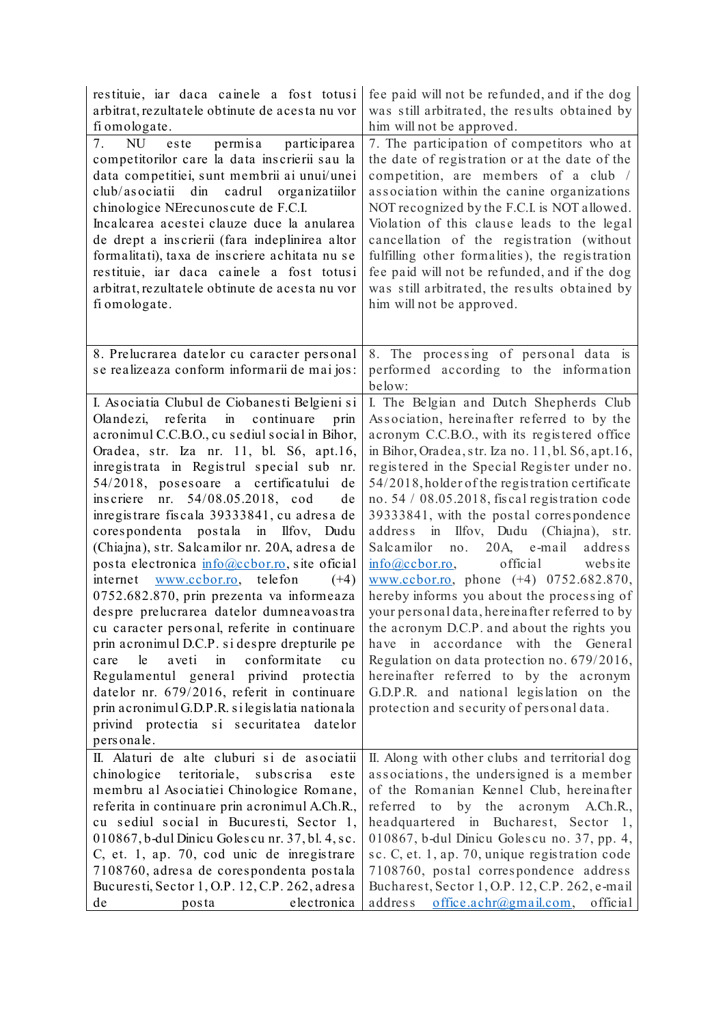| restituie, iar daca cainele a fost totusi<br>arbitrat, rezultatele obtinute de acesta nu vor<br>fi omologate.                                                                                                                                                                                                                                                                                                                                                                                                                                                                                                                                                                                                                                                                                                                                                                                                                                                                                                                            | fee paid will not be refunded, and if the dog<br>was still arbitrated, the results obtained by<br>him will not be approved.                                                                                                                                                                                                                                                                                                                                                                                                                                                                                                                                                                                                                                                                                                                                                                                                                         |
|------------------------------------------------------------------------------------------------------------------------------------------------------------------------------------------------------------------------------------------------------------------------------------------------------------------------------------------------------------------------------------------------------------------------------------------------------------------------------------------------------------------------------------------------------------------------------------------------------------------------------------------------------------------------------------------------------------------------------------------------------------------------------------------------------------------------------------------------------------------------------------------------------------------------------------------------------------------------------------------------------------------------------------------|-----------------------------------------------------------------------------------------------------------------------------------------------------------------------------------------------------------------------------------------------------------------------------------------------------------------------------------------------------------------------------------------------------------------------------------------------------------------------------------------------------------------------------------------------------------------------------------------------------------------------------------------------------------------------------------------------------------------------------------------------------------------------------------------------------------------------------------------------------------------------------------------------------------------------------------------------------|
| permisa participarea<br>7.<br><b>NU</b><br>este<br>competitorilor care la data inscrierii sau la<br>data competitiei, sunt membrii ai unui/unei<br>club/asociatii din cadrul organizatiilor<br>chinologice NErecunoscute de F.C.I.<br>Incalcarea acestei clauze duce la anularea<br>de drept a inscrierii (fara indeplinirea altor<br>formalitati), taxa de inscriere achitata nu se<br>restituie, iar daca cainele a fost totusi<br>arbitrat, rezultatele obtinute de acesta nu vor<br>fi omologate.                                                                                                                                                                                                                                                                                                                                                                                                                                                                                                                                    | 7. The participation of competitors who at<br>the date of registration or at the date of the<br>competition, are members of a club /<br>association within the canine organizations<br>NOT recognized by the F.C.I. is NOT allowed.<br>Violation of this clause leads to the legal<br>cancellation of the registration (without<br>fulfilling other formalities), the registration<br>fee paid will not be refunded, and if the dog<br>was still arbitrated, the results obtained by<br>him will not be approved.                                                                                                                                                                                                                                                                                                                                                                                                                                   |
| 8. Prelucrarea datelor cu caracter personal<br>se realizeaza conform informarii de mai jos:                                                                                                                                                                                                                                                                                                                                                                                                                                                                                                                                                                                                                                                                                                                                                                                                                                                                                                                                              | 8. The processing of personal data is<br>performed according to the information<br>below:                                                                                                                                                                                                                                                                                                                                                                                                                                                                                                                                                                                                                                                                                                                                                                                                                                                           |
| I. Asociatia Clubul de Ciobanesti Belgieni si<br>$\sin$<br>Olandezi,<br>referita<br>continuare<br>prin<br>acronimul C.C.B.O., cu sediul social in Bihor,<br>Oradea, str. Iza nr. 11, bl. S6, apt.16,<br>inregistrata in Registrul special sub nr.<br>54/2018, posesoare a certificatului<br>de<br>inscriere nr. 54/08.05.2018, cod<br>de<br>inregistrare fiscala 39333841, cu adresa de<br>corespondenta postala in Ilfov, Dudu<br>(Chiajna), str. Salcamilor nr. 20A, adresa de<br>posta electronica info@ccbor.ro, site oficial<br>telefon<br>internet www.ccbor.ro,<br>$(+4)$<br>0752.682.870, prin prezenta va informeaza<br>despre prelucrarea datelor dumneavoastra<br>cu caracter personal, referite in continuare<br>prin acronimul D.C.P. si despre drepturile pe<br>conformitate<br>le<br>aveti<br>$\sin$<br>care<br>cu<br>Regulamentul general privind protectia<br>datelor nr. 679/2016, referit in continuare<br>prin acronimul G.D.P.R. si legis latia nationala<br>privind protectia si securitatea datelor<br>personale. | I. The Belgian and Dutch Shepherds Club<br>Association, hereinafter referred to by the<br>acronym C.C.B.O., with its registered office<br>in Bihor, Oradea, str. Iza no. 11, bl. S6, apt.16,<br>registered in the Special Register under no.<br>54/2018, holder of the registration certificate<br>no. 54 / 08.05.2018, fiscal registration code<br>39333841, with the postal correspondence<br>address in Ilfov, Dudu (Chiajna), str.<br>20A, e-mail<br>Salcamilor<br>no.<br>address<br>official<br>$info@ccbor.co$ ,<br>website<br>www.ccbor.ro, phone (+4) 0752.682.870,<br>hereby informs you about the processing of<br>your personal data, hereinafter referred to by<br>the acronym D.C.P. and about the rights you<br>have in accordance with the General<br>Regulation on data protection no. 679/2016,<br>hereinafter referred to by the acronym<br>G.D.P.R. and national legislation on the<br>protection and security of personal data. |
| II. Alaturi de alte cluburi si de asociatii<br>chinologice teritoriale,<br>subscrisa<br>este<br>membru al Asociatiei Chinologice Romane,<br>referita in continuare prin acronimul A.Ch.R.,<br>cu sediul social in Bucuresti, Sector 1,<br>010867, b-dul Dinicu Golescu nr. 37, bl. 4, sc.<br>C, et. 1, ap. 70, cod unic de inregistrare<br>7108760, adresa de corespondenta postala<br>Bucuresti, Sector 1, O.P. 12, C.P. 262, adresa<br>electronica<br>de<br>posta                                                                                                                                                                                                                                                                                                                                                                                                                                                                                                                                                                      | II. Along with other clubs and territorial dog<br>associations, the undersigned is a member<br>of the Romanian Kennel Club, hereinafter<br>referred to by the<br>acronym A.Ch.R.,<br>headquartered in Bucharest, Sector 1,<br>010867, b-dul Dinicu Golescu no. 37, pp. 4,<br>sc. C, et. 1, ap. 70, unique registration code<br>7108760, postal correspondence address<br>Bucharest, Sector 1, O.P. 12, C.P. 262, e-mail<br>$of$ fice.achr@gmail.com,<br>address<br>official                                                                                                                                                                                                                                                                                                                                                                                                                                                                         |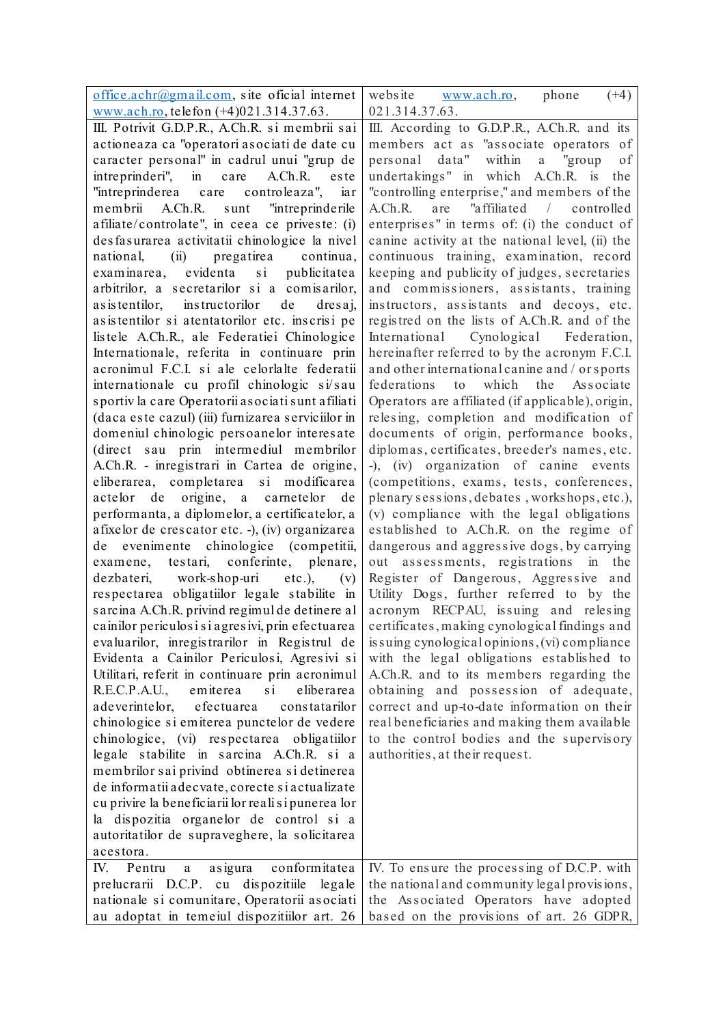| office.achr@gmail.com, site oficial internet          | website<br>$(+4)$                                 |
|-------------------------------------------------------|---------------------------------------------------|
| www.ach.ro, telefon (+4)021.314.37.63.                | phone<br>www.ach.ro,<br>021.314.37.63.            |
| III. Potrivit G.D.P.R., A.Ch.R. si membrii sai        | III. According to G.D.P.R., A.Ch.R. and its       |
| actioneaza ca "operatori asociati de date cu          | members act as "associate operators of            |
| caracter personal" in cadrul unui "grup de            | personal data"<br>within<br>a "group<br>of        |
| intreprinderi", in<br>A.Ch.R.<br>care<br>este         | undertakings" in which A.Ch.R. is<br>the          |
| "intreprinderea care controleaza",<br>iar             | "controlling enterprise," and members of the      |
| membrii<br>A.Ch.R.<br>"intreprinderile<br>sunt        | "affiliated / controlled<br>A.Ch.R. are           |
| afiliate/controlate", in ceea ce priveste: (i)        | enterprises" in terms of: (i) the conduct of      |
| desfasurarea activitatii chinologice la nivel         | canine activity at the national level, (ii) the   |
| (ii) pregatirea continua,<br>national,                | continuous training, examination, record          |
| examinarea, evidenta si publicitatea                  |                                                   |
| arbitrilor, a secretarilor si a comisarilor,          | keeping and publicity of judges, secretaries      |
|                                                       | and commissioners, assistants, training           |
| as is tentilor, instructorilor de<br>$d$ resaj,       | instructors, assistants and decoys, etc.          |
| asistentilor si atentatorilor etc. inscrisi pe        | registred on the lists of A.Ch.R. and of the      |
| listele A.Ch.R., ale Federatiei Chinologice           | International Cynological Federation,             |
| Internationale, referita in continuare prin           | hereinafter referred to by the acronym F.C.I.     |
| acronimul F.C.I. si ale celorlalte federatii          | and other international canine and / or sports    |
| internationale cu profil chinologic si/sau            | federations<br>the Associate<br>to<br>which       |
| sportiv la care Operatorii asociati sunt afiliati     | Operators are affiliated (if applicable), origin, |
| (daca este cazul) (iii) furnizarea serviciilor in     | relesing, completion and modification of          |
| domeniul chinologic persoanelor interesate            | documents of origin, performance books,           |
| (direct sau prin intermediul membrilor                | diplomas, certificates, breeder's names, etc.     |
| A.Ch.R. - inregistrari in Cartea de origine,          | -), (iv) organization of canine events            |
| eliberarea, completarea si modificarea                | (competitions, exams, tests, conferences,         |
| actelor de origine, a carnetelor<br>de                | plenary sessions, debates, workshops, etc.),      |
| performanta, a diplomelor, a certificatelor, a        | (v) compliance with the legal obligations         |
| afixelor de crescator etc. -), (iv) organizarea       | established to A.Ch.R. on the regime of           |
| evenimente chinologice (competitii,<br>de             | dangerous and aggressive dogs, by carrying        |
| examene, testari, conferinte, plenare,                | out assessments, registrations in<br>the          |
| dezbateri, work-shop-uri etc.),<br>(v)                | Register of Dangerous, Aggressive and             |
| respectarea obligatiilor legale stabilite in          | Utility Dogs, further referred to by the          |
| sarcina A.Ch.R. privind regimul de detinere al        | acronym RECPAU, issuing and relesing              |
| cainilor periculosi si agresivi, prin efectuarea      | certificates, making cynological findings and     |
| evaluarilor, inregistrarilor in Registrul de          | is suing cynological opinions, (vi) compliance    |
| Evidenta a Cainilor Periculosi, Agresivi si           | with the legal obligations established to         |
| Utilitari, referit in continuare prin acronimul       | A.Ch.R. and to its members regarding the          |
| R.E.C.P.A.U.,<br>emiterea<br>$\sin$<br>eliberarea     | obtaining and possession of adequate,             |
| adeverintelor,<br>efectuarea<br>constatarilor         | correct and up-to-date information on their       |
| chinologice si emiterea punctelor de vedere           | real beneficiaries and making them available      |
| chinologice, (vi) respectarea obligatiilor            | to the control bodies and the supervisory         |
| legale stabilite in sarcina A.Ch.R. si a              | authorities, at their request.                    |
| membrilor sai privind obtinerea si detinerea          |                                                   |
| de informatii adecvate, corecte si actualizate        |                                                   |
| cu privire la beneficiarii lor reali si punerea lor   |                                                   |
| la dispozitia organelor de control si a               |                                                   |
| autoritatilor de supraveghere, la solicitarea         |                                                   |
| acestora.                                             |                                                   |
| conformitatea<br>IV.<br>asigura<br>Pentru<br>$\rm{a}$ | IV. To ensure the processing of D.C.P. with       |
| prelucrarii D.C.P. cu dispozitiile legale             | the national and community legal provisions,      |
| nationale si comunitare, Operatorii asociati          | the Associated Operators have adopted             |
| au adoptat in temeiul dispozitiilor art. 26           | based on the provisions of art. 26 GDPR,          |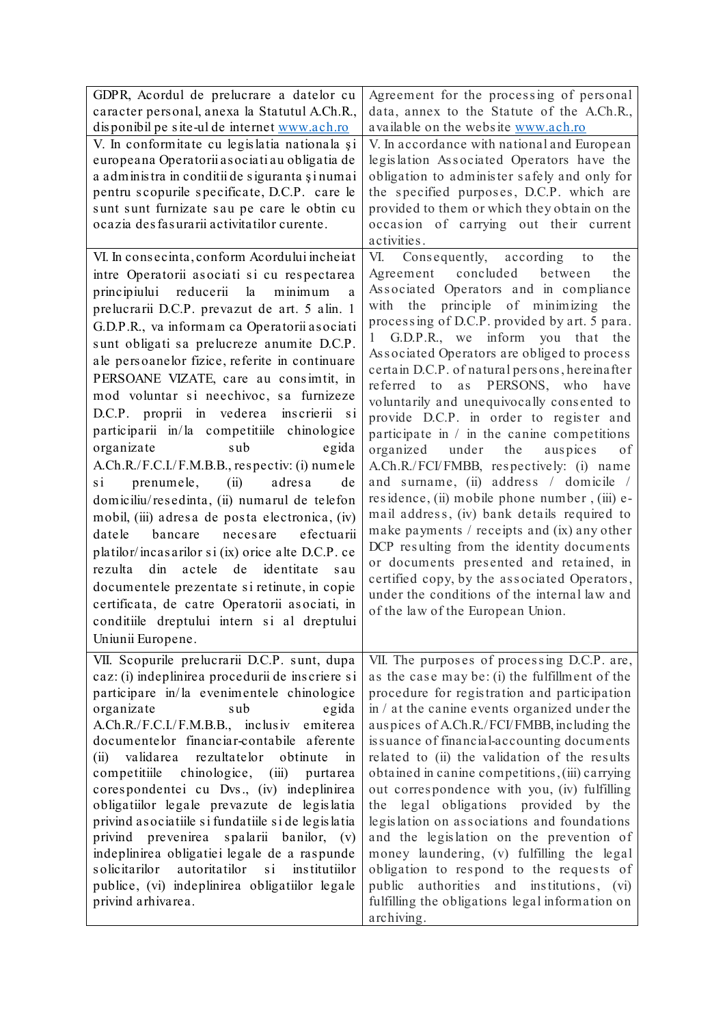| GDPR, Acordul de prelucrare a datelor cu                  | Agreement for the processing of personal        |  |  |  |
|-----------------------------------------------------------|-------------------------------------------------|--|--|--|
| caracter personal, anexa la Statutul A.Ch.R.,             | data, annex to the Statute of the A.Ch.R.,      |  |  |  |
| disponibil pe site-ul de internet www.ach.ro              | available on the website www.ach.ro             |  |  |  |
| V. In conformitate cu legislatia nationala și             | V. In accordance with national and European     |  |  |  |
| europeana Operatorii asociati au obligatia de             | legislation Associated Operators have the       |  |  |  |
| a administra in conditii de siguranta și numai            | obligation to administer safely and only for    |  |  |  |
| pentru scopurile specificate, D.C.P. care le              | the specified purposes, D.C.P. which are        |  |  |  |
| sunt sunt furnizate sau pe care le obtin cu               | provided to them or which they obtain on the    |  |  |  |
| ocazia des fas urarii activitatilor curente.              | occasion of carrying out their current          |  |  |  |
|                                                           | activities.                                     |  |  |  |
| VI. In consecinta, conform Acordului incheiat             | VI.<br>Consequently, according<br>the<br>to     |  |  |  |
| intre Operatorii asociati si cu respectarea               | Agreement concluded<br>the<br>between           |  |  |  |
| principiului<br>reducerii<br>la<br>minimum<br>a           | Associated Operators and in compliance          |  |  |  |
| prelucrarii D.C.P. prevazut de art. 5 alin. 1             | principle of minimizing<br>the<br>the<br>with   |  |  |  |
|                                                           | processing of D.C.P. provided by art. 5 para.   |  |  |  |
| G.D.P.R., va informam ca Operatorii asociati              | 1 G.D.P.R., we inform you that the              |  |  |  |
| sunt obligati sa prelucreze anumite D.C.P.                | Associated Operators are obliged to process     |  |  |  |
| ale persoanelor fizice, referite in continuare            | certain D.C.P. of natural persons, hereinafter  |  |  |  |
| PERSOANE VIZATE, care au consimtit, in                    | referred to<br>as<br>PERSONS, who<br>have       |  |  |  |
| mod voluntar si neechivoc, sa furnizeze                   | voluntarily and unequivocally consented to      |  |  |  |
| D.C.P. proprii in vederea inscrierii si                   | provide D.C.P. in order to register and         |  |  |  |
| participarii in/la competitiile chinologice               | participate in $/$ in the canine competitions   |  |  |  |
| sub<br>organizate<br>egida                                | under<br>organized<br>the<br>auspices<br>of     |  |  |  |
| A.Ch.R./F.C.I./F.M.B.B., respectiv: (i) numele            | A.Ch.R./FCI/FMBB, respectively: (i) name        |  |  |  |
| prenumele,<br>adresa<br>$\sin$<br>(ii)<br>de              | and surname, (ii) address / domicile /          |  |  |  |
| domiciliu/resedinta, (ii) numarul de telefon              | residence, (ii) mobile phone number, (iii) e-   |  |  |  |
| mobil, (iii) adresa de posta electronica, (iv)            | mail address, (iv) bank details required to     |  |  |  |
| efectuarii<br>datele<br>bancare<br>necesare               | make payments / receipts and $(ix)$ any other   |  |  |  |
| platilor/incasarilor si (ix) orice alte D.C.P. ce         | DCP resulting from the identity documents       |  |  |  |
| rezulta<br>dim<br>identitate<br>actele<br>de<br>sau       | or documents presented and retained, in         |  |  |  |
|                                                           | certified copy, by the associated Operators,    |  |  |  |
| documentele prezentate si retinute, in copie              | under the conditions of the internal law and    |  |  |  |
| certificata, de catre Operatorii asociati, in             | of the law of the European Union.               |  |  |  |
| conditiile dreptului intern si al dreptului               |                                                 |  |  |  |
| Uniunii Europene.                                         |                                                 |  |  |  |
| VII. Scopurile prelucrarii D.C.P. sunt, dupa              | VII. The purposes of processing D.C.P. are,     |  |  |  |
| caz: (i) indeplinirea procedurii de inscriere si          | as the case may be: (i) the fulfillment of the  |  |  |  |
| participare in/la evenimentele chinologice                | procedure for registration and participation    |  |  |  |
| organizate<br>sub<br>egida                                | in / at the canine events organized under the   |  |  |  |
| A.Ch.R./F.C.I./F.M.B.B., inclusiv emiterea                | auspices of A.Ch.R./FCI/FMBB, including the     |  |  |  |
| documentelor financiar-contabile aferente                 | is suance of financial-accounting documents     |  |  |  |
| validarea<br>rezultatelor<br>(ii)<br>obtinute<br>in       | related to (ii) the validation of the results   |  |  |  |
| competitiile chinologice, (iii)<br>purtarea               | obtained in canine competitions, (iii) carrying |  |  |  |
| corespondentei cu Dvs., (iv) indeplinirea                 | out correspondence with you, (iv) fulfilling    |  |  |  |
| obligatiilor legale prevazute de legislatia               | the legal obligations provided by the           |  |  |  |
| privind as ociatiile si fundatiile si de legislatia       | legislation on associations and foundations     |  |  |  |
| privind prevenirea<br>spalarii banilor, (v)               | and the legislation on the prevention of        |  |  |  |
| indeplinirea obligatiei legale de a raspunde              | money laundering, (v) fulfilling the legal      |  |  |  |
| autoritatilor<br>solicitarilor<br>$\sin$<br>institutiilor | obligation to respond to the requests of        |  |  |  |
| publice, (vi) indeplinirea obligatiilor legale            | public authorities and institutions, (vi)       |  |  |  |
| privind arhivarea.                                        | fulfilling the obligations legal information on |  |  |  |
|                                                           | archiving.                                      |  |  |  |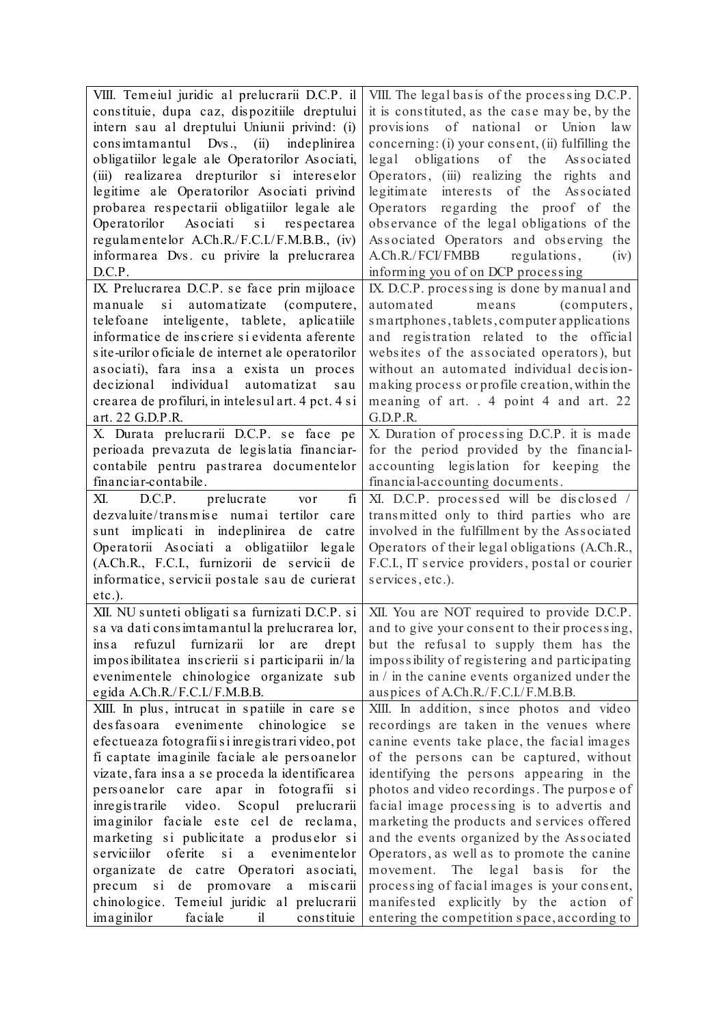| VIII. Temeiul juridic al prelucrarii D.C.P. il          | VIII. The legal basis of the processing D.C.P.      |  |  |  |  |
|---------------------------------------------------------|-----------------------------------------------------|--|--|--|--|
| constituie, dupa caz, dispozitiile dreptului            | it is constituted, as the case may be, by the       |  |  |  |  |
| intern sau al dreptului Uniunii privind: (i)            | of national or Union law<br>provisions              |  |  |  |  |
| consimitamantul Dvs., (ii)<br>indeplinirea              | concerning: (i) your consent, (ii) fulfilling the   |  |  |  |  |
| obligatiilor legale ale Operatorilor Asociati,          | obligations<br>of<br>the<br>$\log a1$<br>Associated |  |  |  |  |
| (iii) realizarea drepturilor si intereselor             | Operators, (iii) realizing the rights and           |  |  |  |  |
| legitime ale Operatorilor Asociati privind              | legitimate interests of the Associated              |  |  |  |  |
| probarea respectarii obligatiilor legale ale            | Operators regarding the proof of the                |  |  |  |  |
| Operatorilor Asociati si respectarea                    | observance of the legal obligations of the          |  |  |  |  |
| regulamentelor A.Ch.R./F.C.I./F.M.B.B., (iv)            | Associated Operators and observing the              |  |  |  |  |
| informarea Dvs. cu privire la prelucrarea               | A.Ch.R./FCI/FMBB regulations,<br>(iv)               |  |  |  |  |
| D.C.P.                                                  | informing you of on DCP processing                  |  |  |  |  |
| IX. Prelucrarea D.C.P. se face prin mijloace            | IX. D.C.P. processing is done by manual and         |  |  |  |  |
| manuale<br>$\sin$<br>automatizate (computere,           | automated<br>means<br>(computers,                   |  |  |  |  |
| telefoane inteligente, tablete, aplicatiile             | smartphones, tablets, computer applications         |  |  |  |  |
| informatice de inscriere si evidenta aferente           | and registration related to the official            |  |  |  |  |
| site-urilor oficiale de internet ale operatorilor       | websites of the associated operators), but          |  |  |  |  |
| asociati), fara insa a exista un proces                 | without an automated individual decision-           |  |  |  |  |
| decizional individual automatizat<br>sau                | making process or profile creation, within the      |  |  |  |  |
| crearea de profiluri, in intelesul art. 4 pct. 4 si     | meaning of art. . 4 point 4 and art. 22             |  |  |  |  |
| art. 22 G.D.P.R.                                        | G.D.P.R.                                            |  |  |  |  |
| X. Durata prelucrarii D.C.P. se face pe                 | X. Duration of processing D.C.P. it is made         |  |  |  |  |
| perioada prevazuta de legislatia financiar-             | for the period provided by the financial-           |  |  |  |  |
| contabile pentru pastrarea documentelor                 | accounting legislation for keeping<br>the           |  |  |  |  |
| financiar-contabile.                                    | financial-accounting documents.                     |  |  |  |  |
| fi<br>XI. D.C.P. prelucrate<br>vor                      | XI. D.C.P. processed will be disclosed /            |  |  |  |  |
| dezvaluite/transmise numai tertilor<br>care             | transmitted only to third parties who are           |  |  |  |  |
| sunt implicati in indeplinirea de<br>catre              | involved in the fulfillment by the Associated       |  |  |  |  |
| Operatorii Asociati a obligatiilor legale               | Operators of their legal obligations (A.Ch.R.,      |  |  |  |  |
| (A.Ch.R., F.C.I., furnizorii de servicii de             | F.C.I., IT service providers, postal or courier     |  |  |  |  |
| informatice, servicii postale sau de curierat           | services, etc.).                                    |  |  |  |  |
| $etc.$ ).                                               |                                                     |  |  |  |  |
| XII. NU sunteti obligati sa furnizati D.C.P. si         | XII. You are NOT required to provide D.C.P.         |  |  |  |  |
| sa va dati consimtamantul la prelucrarea lor,           | and to give your consent to their processing,       |  |  |  |  |
| insa refuzul furnizarii lor are<br>drept                | but the refusal to supply them has the              |  |  |  |  |
| imposibilitatea inscrierii si participarii in/la        | impossibility of registering and participating      |  |  |  |  |
| evenimentele chinologice organizate sub                 | in $\ell$ in the canine events organized under the  |  |  |  |  |
| egida A.Ch.R./F.C.I./F.M.B.B.                           | auspices of A.Ch.R./F.C.I./F.M.B.B.                 |  |  |  |  |
| XIII. In plus, intrucat in spatiile in care se          | XIII. In addition, since photos and video           |  |  |  |  |
| desfasoara evenimente chinologice<br>s e                | recordings are taken in the venues where            |  |  |  |  |
| efectueaza fotografii si inregistrari video, pot        | canine events take place, the facial images         |  |  |  |  |
| fi captate imaginile faciale ale persoanelor            | of the persons can be captured, without             |  |  |  |  |
| vizate, fara insa a se proceda la identificarea         | identifying the persons appearing in the            |  |  |  |  |
| persoanelor care apar in fotografii si                  | photos and video recordings. The purpose of         |  |  |  |  |
| inregistrarile video. Scopul prelucrarii                | facial image processing is to advertis and          |  |  |  |  |
| imaginilor faciale este cel de reclama,                 | marketing the products and services offered         |  |  |  |  |
| marketing si publicitate a produselor si                | and the events organized by the Associated          |  |  |  |  |
| oferite<br>s erviciilor<br>$\sin$<br>evenimentelor<br>a | Operators, as well as to promote the canine         |  |  |  |  |
| organizate de catre Operatori asociati,                 | legal basis<br>movement. The<br>for<br>the          |  |  |  |  |
| si de promovare a miscarii<br>precum                    | processing of facial images is your consent,        |  |  |  |  |
| chinologice. Temeiul juridic al prelucrarii             | manifested explicitly by the action of              |  |  |  |  |
| imaginilor<br>faciale<br>i<br>constituie                | entering the competition space, according to        |  |  |  |  |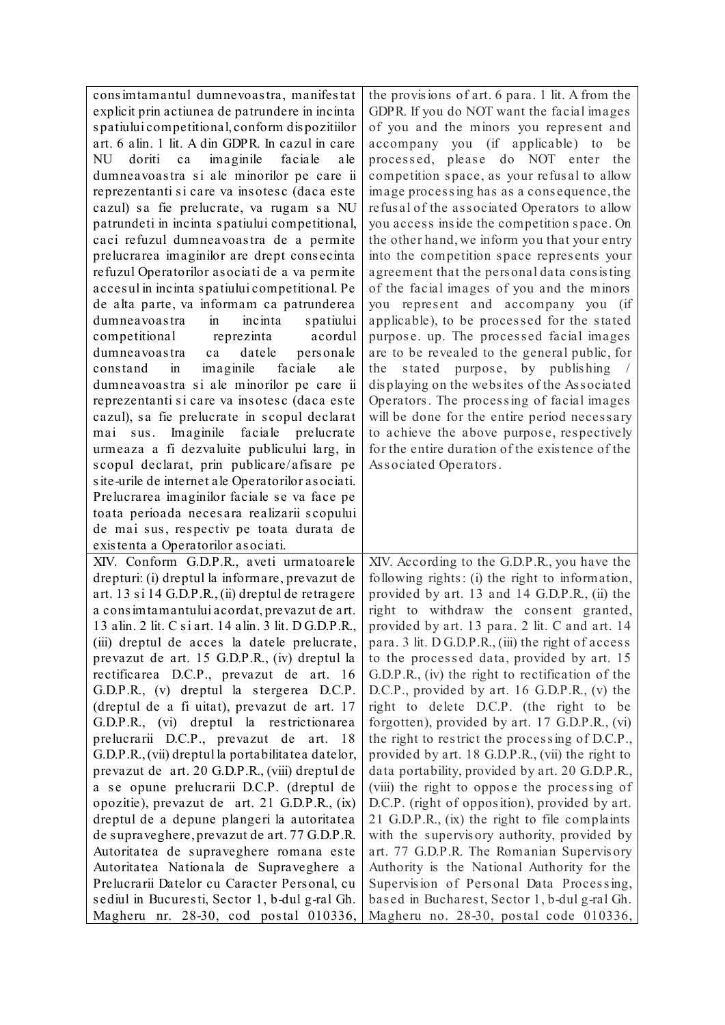| consimtamantul dumnevoastra, manifestat                                                 | the provisions of art. 6 para. 1 lit. A from the                                        |
|-----------------------------------------------------------------------------------------|-----------------------------------------------------------------------------------------|
| explicit prin actiunea de patrundere in incinta                                         | GDPR. If you do NOT want the facial images                                              |
| spatiului competitional, conform dispozitiilor                                          | of you and the minors you represent and                                                 |
| art. 6 alin. 1 lit. A din GDPR. In cazul in care                                        | accompany you (if applicable) to<br>be                                                  |
| doriti<br>imaginile<br>faciale<br>NU<br>ca<br>a le                                      | processed, please do NOT enter the                                                      |
| dumneavoastra si ale minorilor pe care ii                                               | competition space, as your refusal to allow                                             |
| reprezentanti si care va insotesc (daca este                                            | image processing has as a consequence, the                                              |
| cazul) sa fie prelucrate, va rugam sa NU                                                | refusal of the associated Operators to allow                                            |
| patrundeti in incinta spatiului competitional,                                          | you access inside the competition space. On                                             |
| caci refuzul dumneavoastra de a permite                                                 | the other hand, we inform you that your entry                                           |
| prelucrarea imaginilor are drept consecinta                                             | into the competition space represents your                                              |
| refuzul Operatorilor asociati de a va permite                                           | agreement that the personal data consisting                                             |
| accesul in incinta spatiului competitional. Pe                                          | of the facial images of you and the minors                                              |
| de alta parte, va informam ca patrunderea                                               | you represent and accompany you (if                                                     |
| dumneavoastra<br>incinta<br>$\sin$<br>spatiului                                         | applicable), to be processed for the stated                                             |
| competitional<br>reprezinta<br>acordul                                                  | purpose. up. The processed facial images                                                |
| datele<br>dumneavoastra<br>personale<br>ca                                              | are to be revealed to the general public, for                                           |
| faciale<br>imaginile<br>a le<br>constand<br>in                                          | stated purpose, by publishing /<br>the                                                  |
| dumneavoastra si ale minorilor pe care ii                                               | displaying on the websites of the Associated                                            |
| reprezentanti si care va insotesc (daca este                                            | Operators. The processing of facial images                                              |
| cazul), sa fie prelucrate in scopul declarat                                            | will be done for the entire period necessary                                            |
| mai sus. Imaginile faciale prelucrate                                                   | to achieve the above purpose, respectively                                              |
| urmeaza a fi dezvaluite publicului larg, in                                             | for the entire duration of the existence of the                                         |
| scopul declarat, prin publicare/afisare pe                                              | Associated Operators.                                                                   |
| site-urile de internet ale Operatorilor asociati.                                       |                                                                                         |
| Prelucrarea imaginilor faciale se va face pe                                            |                                                                                         |
| toata perioada necesara realizarii scopului                                             |                                                                                         |
| de mai sus, respectiv pe toata durata de                                                |                                                                                         |
| existenta a Operatorilor asociati.                                                      |                                                                                         |
| XIV. Conform G.D.P.R., aveti urmatoarele                                                | XIV. According to the G.D.P.R., you have the                                            |
| drepturi: (i) dreptul la informare, prevazut de                                         | following rights: (i) the right to information,                                         |
| art. 13 si 14 G.D.P.R., (ii) dreptul de retragere                                       |                                                                                         |
|                                                                                         | provided by art. 13 and 14 G.D.P.R., (ii) the                                           |
| a consimtamantului acordat, prevazut de art.                                            | right to withdraw the consent granted,                                                  |
| 13 alin. 2 lit. C si art. 14 alin. 3 lit. D G.D.P.R.                                    | provided by art. 13 para. 2 lit. C and art. 14                                          |
| (iii) dreptul de acces la datele prelucrate,                                            | para. 3 lit. D G.D.P.R., (iii) the right of access                                      |
| prevazut de art. 15 G.D.P.R., (iv) dreptul la                                           | to the processed data, provided by art. 15                                              |
| rectificarea D.C.P., prevazut de art. 16                                                | G.D.P.R., (iv) the right to rectification of the                                        |
| G.D.P.R., (v) dreptul la stergerea D.C.P.                                               | D.C.P., provided by art. 16 G.D.P.R., (v) the                                           |
| (dreptul de a fi uitat), prevazut de art. 17                                            | right to delete D.C.P. (the right to be                                                 |
| G.D.P.R., (vi) dreptul la restrictionarea                                               | forgotten), provided by art. 17 G.D.P.R., (vi)                                          |
| prelucrarii D.C.P., prevazut de art. 18                                                 | the right to restrict the processing of D.C.P.,                                         |
| G.D.P.R., (vii) dreptul la portabilitatea datelor,                                      | provided by art. 18 G.D.P.R., (vii) the right to                                        |
| prevazut de art. 20 G.D.P.R., (viii) dreptul de                                         | data portability, provided by art. 20 G.D.P.R.,                                         |
| a se opune prelucrarii D.C.P. (dreptul de                                               | (viii) the right to oppose the processing of                                            |
| opozitie), prevazut de art. 21 G.D.P.R., (ix)                                           | D.C.P. (right of opposition), provided by art.                                          |
| dreptul de a depune plangeri la autoritatea                                             | 21 G.D.P.R., (ix) the right to file complaints                                          |
| de supraveghere, prevazut de art. 77 G.D.P.R.                                           | with the supervisory authority, provided by                                             |
| Autoritatea de supraveghere romana este                                                 | art. 77 G.D.P.R. The Romanian Supervisory                                               |
| Autoritatea Nationala de Supraveghere a                                                 | Authority is the National Authority for the                                             |
| Prelucrarii Datelor cu Caracter Personal, cu                                            | Supervision of Personal Data Processing,                                                |
| sediul in Bucuresti, Sector 1, b-dul g-ral Gh.<br>Magheru nr. 28-30, cod postal 010336, | based in Bucharest, Sector 1, b-dul g-ral Gh.<br>Magheru no. 28-30, postal code 010336, |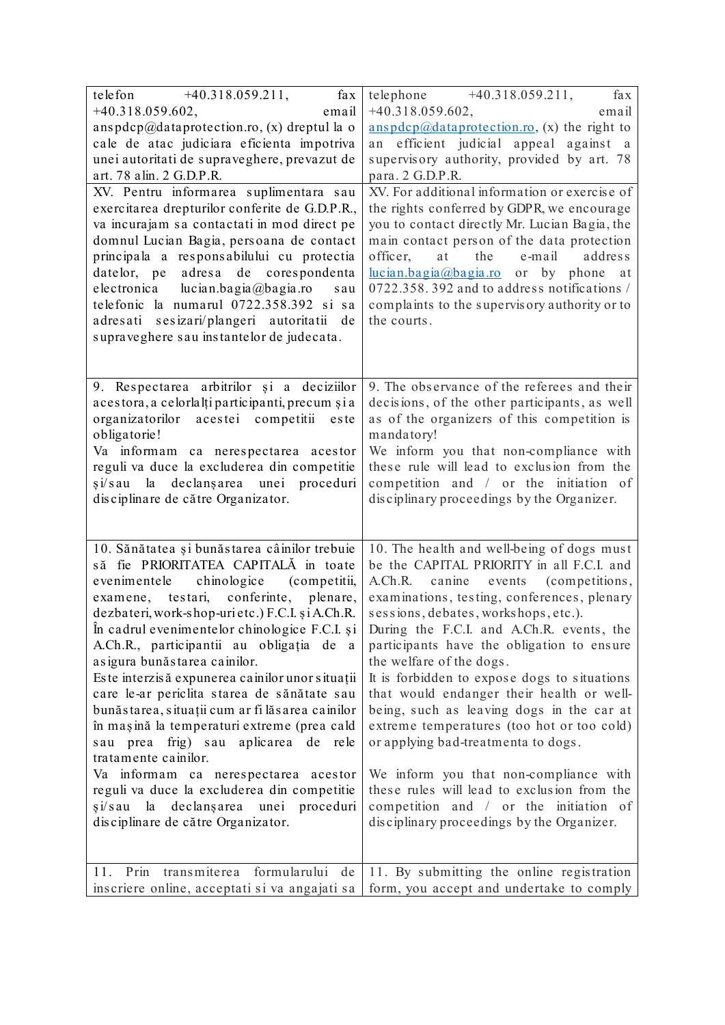| $+40.318.059.211,$<br>telefon<br>fax                                                       | telephone +40.318.059.211,<br>fax                                                       |  |  |  |  |
|--------------------------------------------------------------------------------------------|-----------------------------------------------------------------------------------------|--|--|--|--|
| $+40.318.059.602,$<br>email                                                                | $+40.318.059.602,$<br>email                                                             |  |  |  |  |
| anspdcp@dataprotection.ro, (x) dreptul la o                                                | $anspdcp@dataprotein.ro, (x)$ the right to                                              |  |  |  |  |
| cale de atac judiciara eficienta impotriva<br>unei autoritati de supraveghere, prevazut de | efficient judicial appeal against a<br>an<br>supervisory authority, provided by art. 78 |  |  |  |  |
| art. 78 alin. 2 G.D.P.R.                                                                   | para. 2 G.D.P.R.                                                                        |  |  |  |  |
| XV. Pentru informarea suplimentara sau                                                     | XV. For additional information or exercise of                                           |  |  |  |  |
| exercitarea drepturilor conferite de G.D.P.R.,                                             | the rights conferred by GDPR, we encourage                                              |  |  |  |  |
| va incurajam sa contactati in mod direct pe                                                | you to contact directly Mr. Lucian Bagia, the                                           |  |  |  |  |
| domnul Lucian Bagia, persoana de contact                                                   | main contact person of the data protection                                              |  |  |  |  |
| principala a responsabilului cu protectia                                                  | officer,<br>at<br>the<br>e-mail<br>address                                              |  |  |  |  |
| datelor, pe adresa de corespondenta                                                        | hucian.bagia@bagia.ro or by phone at                                                    |  |  |  |  |
| electronica lucian.bagia@bagia.ro<br>sau                                                   | 0722.358.392 and to address notifications /                                             |  |  |  |  |
| telefonic la numarul 0722.358.392 si sa                                                    | complaints to the supervisory authority or to                                           |  |  |  |  |
| adresati sesizari/plangeri autoritatii de                                                  | the courts.                                                                             |  |  |  |  |
| supraveghere sau instantelor de judecata.                                                  |                                                                                         |  |  |  |  |
|                                                                                            |                                                                                         |  |  |  |  |
| 9. Respectarea arbitrilor și a deciziilor                                                  | 9. The observance of the referees and their                                             |  |  |  |  |
| acestora, a celorlalți participanti, precum și a                                           | decisions, of the other participants, as well                                           |  |  |  |  |
| organizatorilor acestei competitii este                                                    | as of the organizers of this competition is                                             |  |  |  |  |
| obligatorie!                                                                               | mandatory!                                                                              |  |  |  |  |
| Va informam ca nerespectarea acestor                                                       | We inform you that non-compliance with                                                  |  |  |  |  |
| reguli va duce la excluderea din competitie                                                | these rule will lead to exclusion from the                                              |  |  |  |  |
| si/sau la declansarea unei proceduri                                                       | competition and / or the initiation of                                                  |  |  |  |  |
| disciplinare de către Organizator.                                                         | disciplinary proceedings by the Organizer.                                              |  |  |  |  |
|                                                                                            |                                                                                         |  |  |  |  |
| 10. Sănătatea și bunăstarea câinilor trebuie                                               | 10. The health and well-being of dogs must                                              |  |  |  |  |
| să fie PRIORITATEA CAPITALĂ in toate                                                       | be the CAPITAL PRIORITY in all F.C.I. and                                               |  |  |  |  |
| evenimentele chinologice (competitii,                                                      | A.Ch.R. canine events (competitions,                                                    |  |  |  |  |
| examene, testari, conferinte,<br>plenare,                                                  | examinations, testing, conferences, plenary                                             |  |  |  |  |
| dezbateri, work-shop-urietc.) F.C.I. și A.Ch.R.                                            | sessions, debates, workshops, etc.).                                                    |  |  |  |  |
| In cadrul evenimentelor chinologice F.C.I. și<br>A.Ch.R., participantii au obligația de a  | During the F.C.I. and A.Ch.R. events, the<br>participants have the obligation to ensure |  |  |  |  |
| asigura bunăstarea cainilor.                                                               | the welfare of the dogs.                                                                |  |  |  |  |
| Este interzisă expunerea cainilor unor situații                                            | It is forbidden to expose dogs to situations                                            |  |  |  |  |
| care le-ar periclita starea de sănătate sau                                                | that would endanger their health or well-                                               |  |  |  |  |
| bunăstarea, situații cum ar fi lăsarea cainilor                                            | being, such as leaving dogs in the car at                                               |  |  |  |  |
| în mașină la temperaturi extreme (prea cald                                                | extreme temperatures (too hot or too cold)                                              |  |  |  |  |
| sau prea frig) sau aplicarea de rele                                                       | or applying bad-treatmenta to dogs.                                                     |  |  |  |  |
| tratamente cainilor.                                                                       |                                                                                         |  |  |  |  |
| Va informam ca nerespectarea acestor                                                       | We inform you that non-compliance with                                                  |  |  |  |  |
| reguli va duce la excluderea din competitie                                                | these rules will lead to exclusion from the                                             |  |  |  |  |
| si/sau la declansarea unei proceduri                                                       | competition and / or the initiation of                                                  |  |  |  |  |
| disciplinare de către Organizator.                                                         | disciplinary proceedings by the Organizer.                                              |  |  |  |  |
|                                                                                            |                                                                                         |  |  |  |  |
| 11. Prin transmiterea formularului de                                                      | 11. By submitting the online registration                                               |  |  |  |  |
| inscriere online, acceptati si va angajati sa                                              | form, you accept and undertake to comply                                                |  |  |  |  |